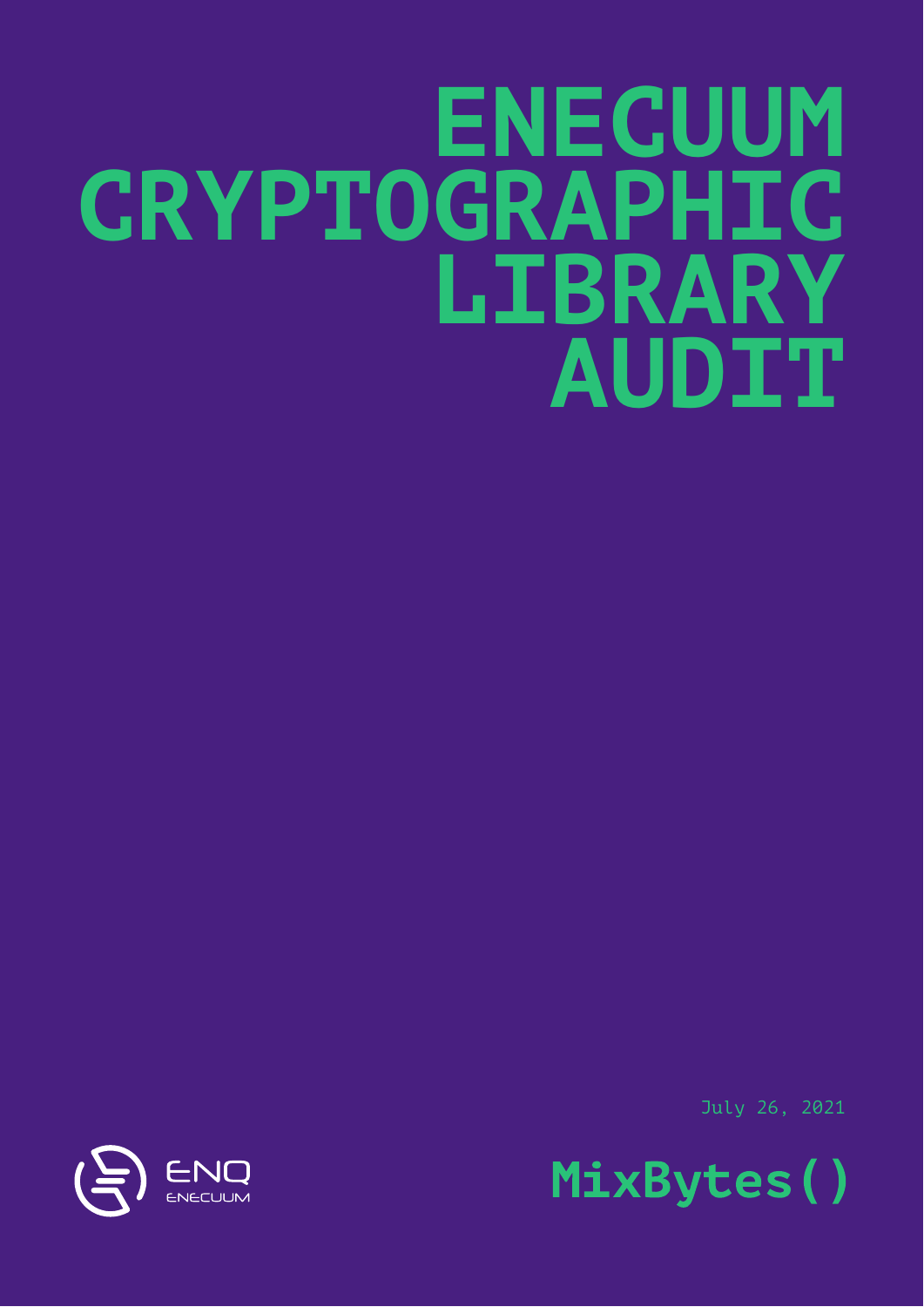# **ENECUUM CRYPTOGRAPHIC LIBRARY AUDIT**

July 26, 2021



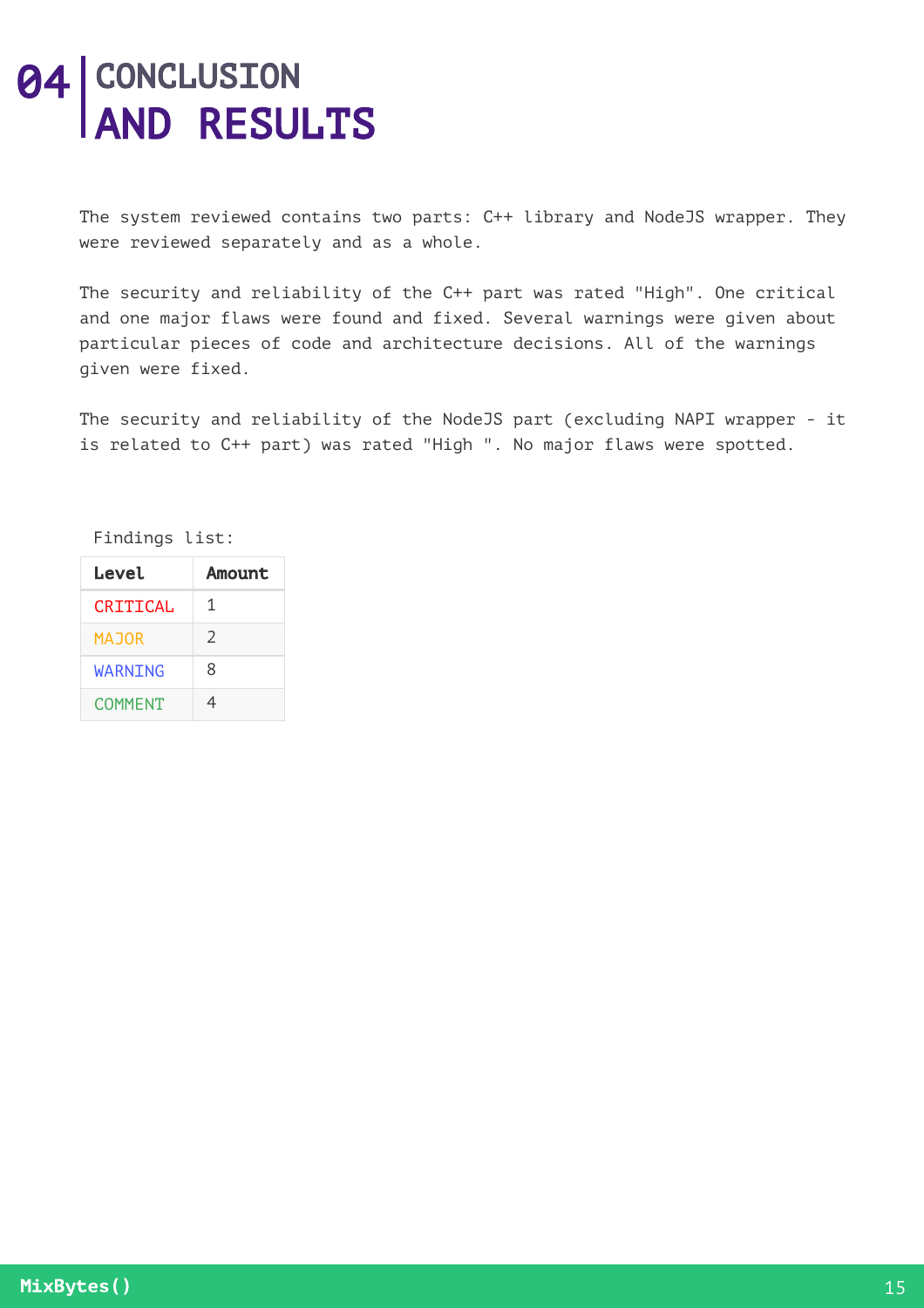## **04 CONCLUSION** AND RESULTS

The system reviewed contains two parts: C++ library and NodeJS wrapper. They were reviewed separately and as a whole.

The security and reliability of the C++ part was rated "High". One critical and one major flaws were found and fixed. Several warnings were given about particular pieces of code and architecture decisions. All of the warnings given were fixed.

The security and reliability of the NodeJS part (excluding NAPI wrapper - it is related to C++ part) was rated "High ". No major flaws were spotted.

Findings list:

| Level          | Amount |
|----------------|--------|
| CRITICAL       | 1      |
| <b>MAJOR</b>   | C.     |
| WARNING        | 8      |
| <b>COMMENT</b> |        |